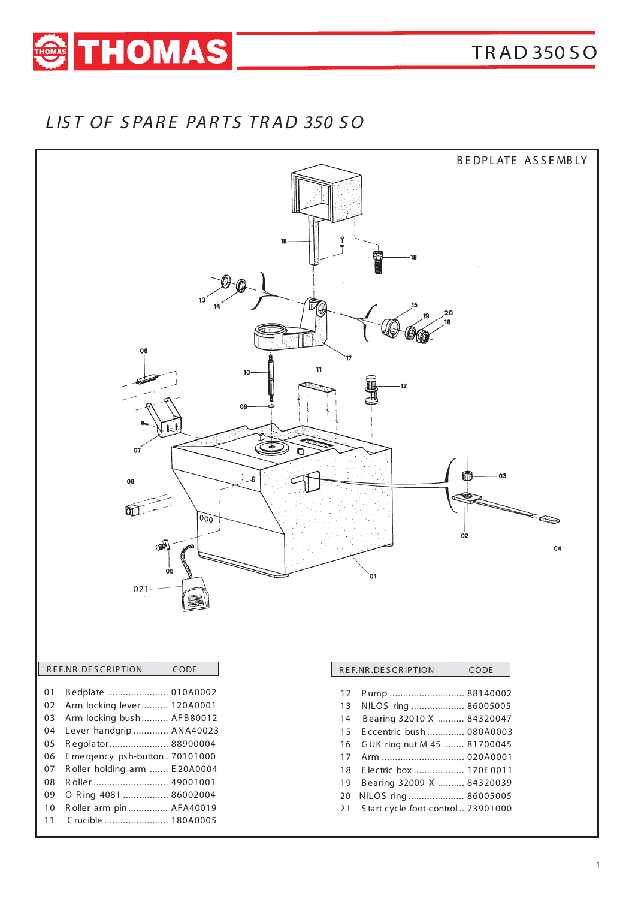

## LIST OF SPARE PARTS TRAD 350 SO



### REF.NR.DESCRIPTION CODE

- 01 Bedplate ........................ 010A0002
- 02 Arm locking lever.......... 120A0001
- 03 Arm locking bush.......... AFB80012 04 Lever handgrip ............. ANA40023
- 05 Regolator....................... 88900004
- 06 Emergency psh-button. 70101000
- 07 Roller holding arm ....... E20A0004
- 08 Roller ............................... 49001001
- 09 O-Ring 4081 ................. 86002004
- Roller arm pin ............... AFA40019  $10<sup>1</sup>$
- Crucible ........................ 180A0005  $11$

| REF.NR.DESCRIPTION | CODE                        |  |
|--------------------|-----------------------------|--|
|                    |                             |  |
| 12                 | Pump  88140002              |  |
| 13                 | NILOS ring  86005005        |  |
| 14                 | Bearing 32010 X  84320047   |  |
| 15                 | Eccentric bush  080A0003    |  |
| 16                 | GUK ring nut M 45  81700045 |  |
| 17                 | Arm  020A0001               |  |
| 18                 | Electric box  170E 0011     |  |
| 19                 | Bearing 32009 X  84320039   |  |

20 NILOS ring ..................... 86005005

21 Start cycle foot-control .. 73901000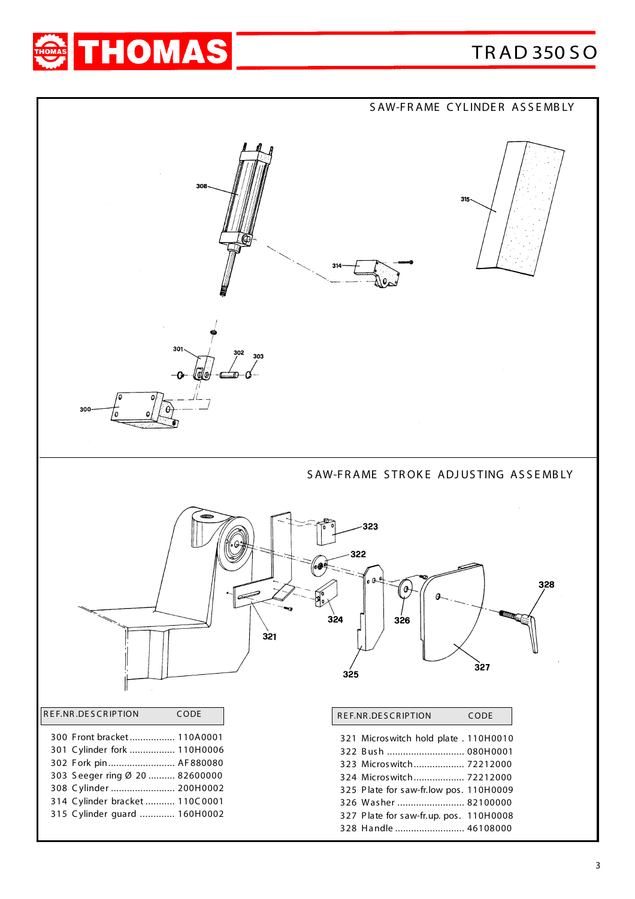# TR AD 350 S O



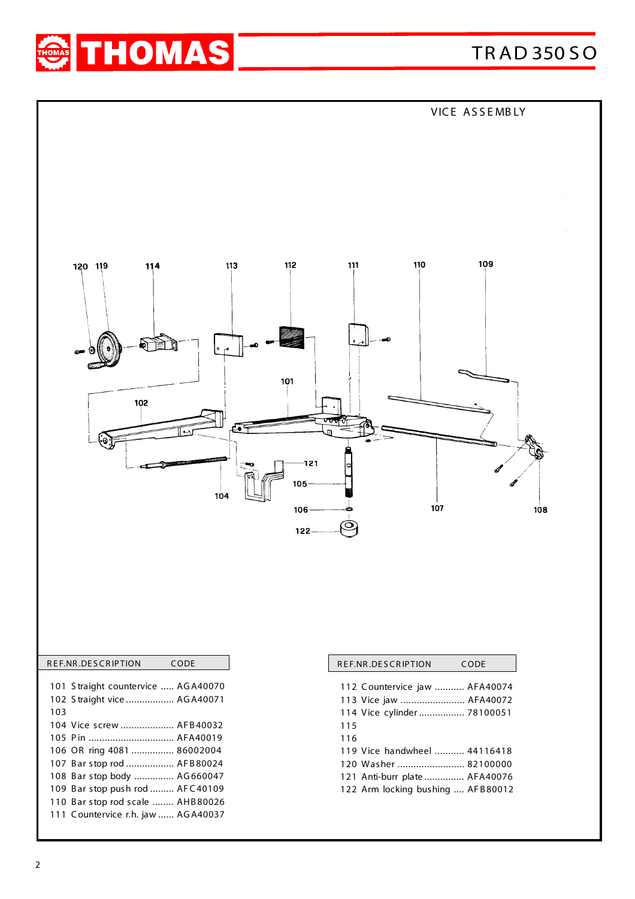



|     | REF.NR.DESCRIPTION                 | CODE |
|-----|------------------------------------|------|
|     |                                    |      |
|     | 101 Straight countervice  AGA40070 |      |
|     | 102 Straight vice  AGA40071        |      |
| 103 |                                    |      |
|     | 104 Vice screw  AFB40032           |      |
|     | 105 Pin  AFA40019                  |      |
|     | 106 OR ring 4081  86002004         |      |
|     | 107 Bar stop rod  AFB80024         |      |
|     | 108 Bar stop body  AG660047        |      |
|     | 109 Bar stop push rod  AFC40109    |      |
|     | 110 Bar stop rod scale  AHB80026   |      |
|     | 111 Countervice r.h. jaw  AGA40037 |      |
|     |                                    |      |

|     | REF.NR.DESCRIPTION                | CODE |
|-----|-----------------------------------|------|
|     | 112 Countervice jaw  AFA40074     |      |
|     | 113 Vice jaw  AFA40072            |      |
|     | 114 Vice cylinder 78100051        |      |
| 115 |                                   |      |
| 116 |                                   |      |
|     | 119 Vice handwheel  44116418      |      |
|     | 120 Washer  82100000              |      |
|     | 121 Anti-burr plate  AFA40076     |      |
|     | 122 Arm locking bushing  AFB80012 |      |
|     |                                   |      |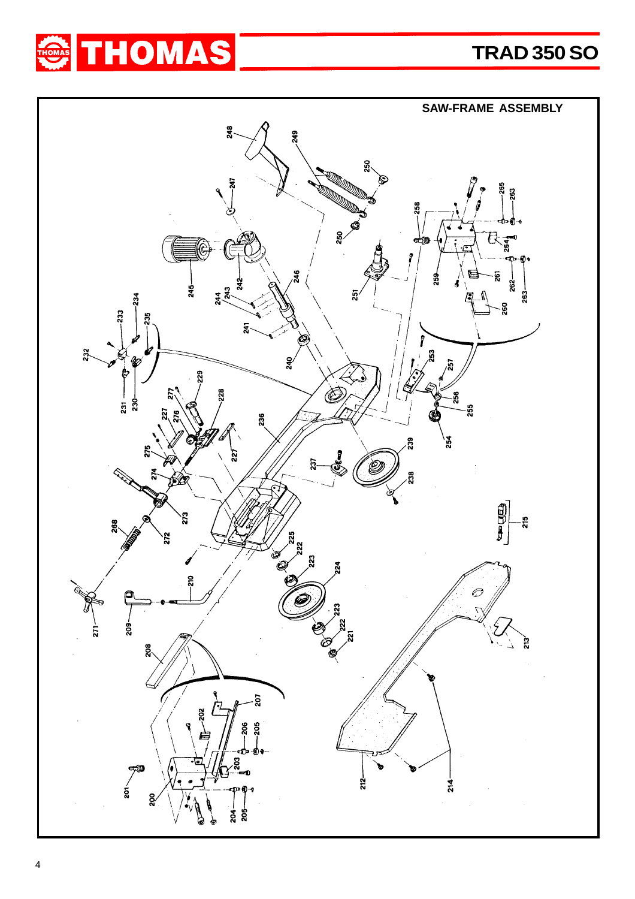

**TRAD 350 SO**